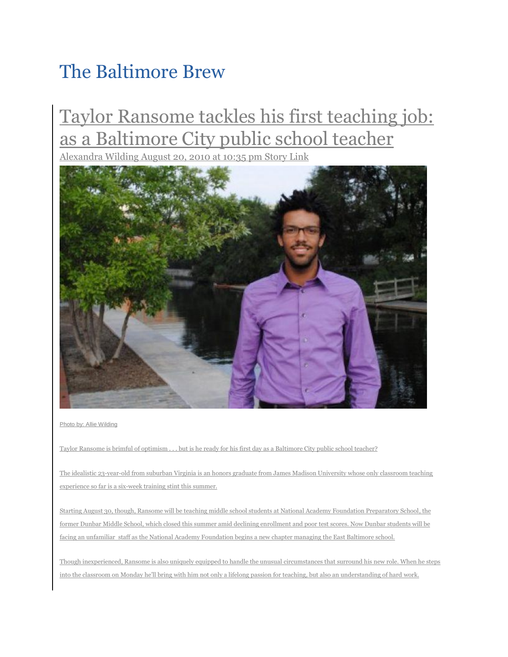## [The Baltimore Brew](http://www.baltimorebrew.com/2010/08/20/taylor-ransome-tackles-his-first-teaching-job-as-a-baltimore-city-public-school-teacher/#site-tier2-authors)

## Taylor Ransome tackles his first teaching job: as a Baltimore City public school teacher

Alexandra Wilding August 20, 2010 at 10:35 pm [Story Link](http://www.baltimorebrew.com/2010/08/20/taylor-ransome-tackles-his-first-teaching-job-as-a-baltimore-city-public-school-teacher/)



Photo by: Allie Wilding

Taylor Ransome is brimful of optimism . . . but is he ready for his first day as a Baltimore City public school teacher?

The idealistic 23-year-old from suburban Virginia is an honors graduate from James Madison University whose only classroom teaching experience so far is a six-week training stint this summer.

Starting August 30, though, Ransome will be teaching middle school students at National Academy Foundation Preparatory School, the former Dunbar Middle School, which closed this summer amid declining enrollment and poor test scores. Now Dunbar students will be facing an unfamiliar staff as the National Academy Foundation begins a new chapter managing the East Baltimore school.

Though inexperienced, Ransome is also uniquely equipped to handle the unusual circumstances that surround his new role. When he steps into the classroom on Monday he'll bring with him not only a lifelong passion for teaching, but also an understanding of hard work.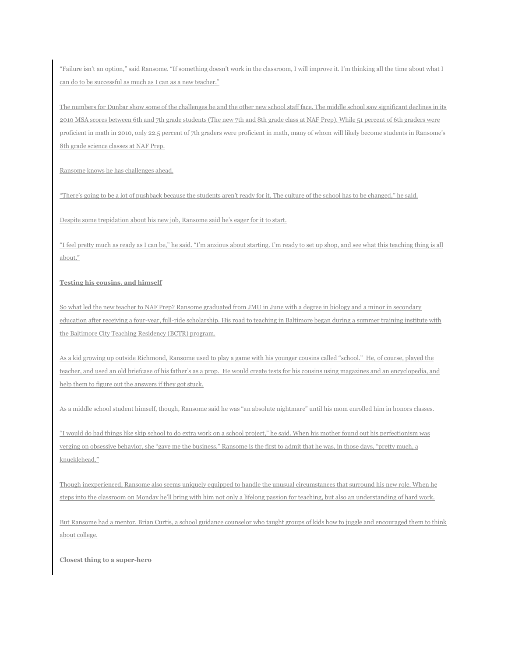"Failure isn't an option," said Ransome. "If something doesn't work in the classroom, I will improve it. I'm thinking all the time about what I can do to be successful as much as I can as a new teacher."

The numbers for Dunbar show some of the challenges he and the other new school staff face. The middle school saw significant declines in its 2010 MSA scores between 6th and 7th grade students (The new 7th and 8th grade class at NAF Prep). While 51 percent of 6th graders were proficient in math in 2010, only 22.5 percent of 7th graders were proficient in math, many of whom will likely become students in Ransome's 8th grade science classes at NAF Prep.

Ransome knows he has challenges ahead.

"There's going to be a lot of pushback because the students aren't ready for it. The culture of the school has to be changed," he said.

Despite some trepidation about his new job, Ransome said he's eager for it to start.

"I feel pretty much as ready as I can be," he said. "I'm anxious about starting. I'm ready to set up shop, and see what this teaching thing is all about."

## **Testing his cousins, and himself**

So what led the new teacher to NAF Prep? Ransome graduated from JMU in June with a degree in biology and a minor in secondary education after receiving a four-year, full-ride scholarship. His road to teaching in Baltimore began during a summer training institute with the Baltimore City Teaching Residency (BCTR) program.

As a kid growing up outside Richmond, Ransome used to play a game with his younger cousins called "school." He, of course, played the teacher, and used an old briefcase of his father's as a prop. He would create tests for his cousins using magazines and an encyclopedia, and help them to figure out the answers if they got stuck.

As a middle school student himself, though, Ransome said he was "an absolute nightmare" until his mom enrolled him in honors classes.

"I would do bad things like skip school to do extra work on a school project," he said. When his mother found out his perfectionism was verging on obsessive behavior, she "gave me the business." Ransome is the first to admit that he was, in those days, "pretty much, a knucklehead."

Though inexperienced, Ransome also seems uniquely equipped to handle the unusual circumstances that surround his new role. When he steps into the classroom on Monday he'll bring with him not only a lifelong passion for teaching, but also an understanding of hard work.

But Ransome had a mentor, Brian Curtis, a school guidance counselor who taught groups of kids how to juggle and encouraged them to think about college.

**Closest thing to a super-hero**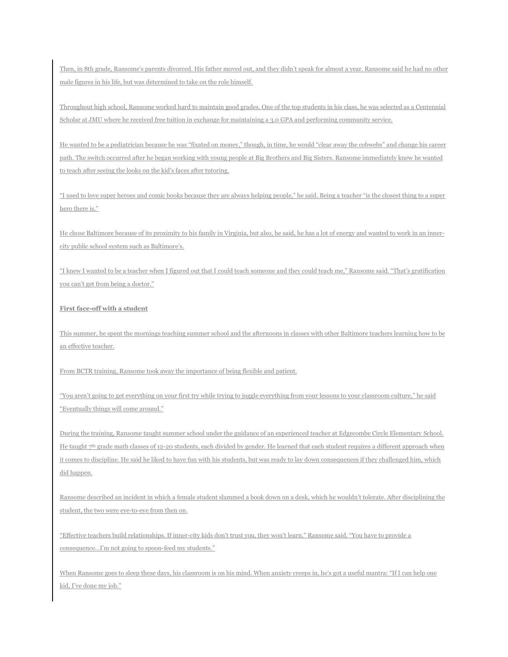Then, in 8th grade, Ransome's parents divorced. His father moved out, and they didn't speak for almost a year. Ransome said he had no other male figures in his life, but was determined to take on the role himself.

Throughout high school, Ransome worked hard to maintain good grades. One of the top students in his class, he was selected as a Centennial Scholar at JMU where he received free tuition in exchange for maintaining a 3.0 GPA and performing community service.

He wanted to be a pediatrician because he was "fixated on money," though, in time, he would "clear away the cobwebs" and change his career path. The switch occurred after he began working with young people at Big Brothers and Big Sisters. Ransome immediately knew he wanted to teach after seeing the looks on the kid's faces after tutoring.

"I used to love super heroes and comic books because they are always helping people," he said. Being a teacher "is the closest thing to a super hero there is."

He chose Baltimore because of its proximity to his family in Virginia, but also, he said, he has a lot of energy and wanted to work in an innercity public school system such as Baltimore's.

"I knew I wanted to be a teacher when I figured out that I could teach someone and they could teach me," Ransome said. "That's gratification you can't get from being a doctor."

## **First face-off with a student**

This summer, he spent the mornings teaching summer school and the afternoons in classes with other Baltimore teachers learning how to be an effective teacher.

From BCTR training, Ransome took away the importance of being flexible and patient.

"You aren't going to get everything on your first try while trying to juggle everything from your lessons to your classroom culture," he said "Eventually things will come around."

During the training, Ransome taught summer school under the guidance of an experienced teacher at Edgecombe Circle Elementary School. He taught  $7<sup>th</sup>$  grade math classes of 12-20 students, each divided by gender. He learned that each student requires a different approach when it comes to discipline. He said he liked to have fun with his students, but was ready to lay down consequences if they challenged him, which did happen.

Ransome described an incident in which a female student slammed a book down on a desk, which he wouldn't tolerate. After disciplining the student, the two were eye-to-eye from then on.

"Effective teachers build relationships. If inner-city kids don't trust you, they won't learn," Ransome said. "You have to provide a consequence…I'm not going to spoon-feed my students."

When Ransome goes to sleep these days, his classroom is on his mind. When anxiety creeps in, he's got a useful mantra: "If I can help one kid, I've done my job."